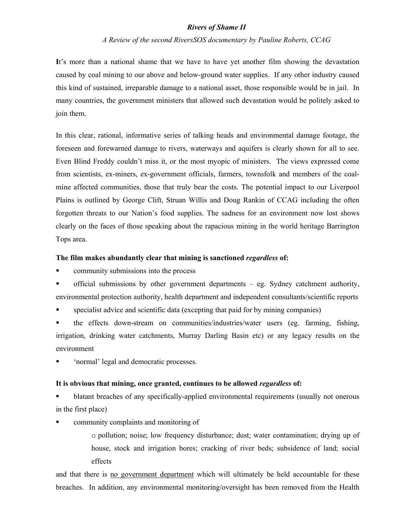## *Rivers of Shame II*

## *A Review of the second RiversSOS documentary by Pauline Roberts, CCAG*

**I**t's more than a national shame that we have to have yet another film showing the devastation caused by coal mining to our above and below-ground water supplies. If any other industry caused this kind of sustained, irreparable damage to a national asset, those responsible would be in jail. In many countries, the government ministers that allowed such devastation would be politely asked to join them.

In this clear, rational, informative series of talking heads and environmental damage footage, the foreseen and forewarned damage to rivers, waterways and aquifers is clearly shown for all to see. Even Blind Freddy couldn't miss it, or the most myopic of ministers. The views expressed come from scientists, ex-miners, ex-government officials, farmers, townsfolk and members of the coalmine affected communities, those that truly bear the costs. The potential impact to our Liverpool Plains is outlined by George Clift, Struan Willis and Doug Rankin of CCAG including the often forgotten threats to our Nation's food supplies. The sadness for an environment now lost shows clearly on the faces of those speaking about the rapacious mining in the world heritage Barrington Tops area.

#### **The film makes abundantly clear that mining is sanctioned** *regardless* **of:**

**•** community submissions into the process

 official submissions by other government departments – eg. Sydney catchment authority, environmental protection authority, health department and independent consultants/scientific reports

specialist advice and scientific data (excepting that paid for by mining companies)

 the effects down-stream on communities/industries/water users (eg. farming, fishing, irrigation, drinking water catchments, Murray Darling Basin etc) or any legacy results on the environment

'normal' legal and democratic processes.

#### **It is obvious that mining, once granted, continues to be allowed** *regardless* **of:**

 blatant breaches of any specifically-applied environmental requirements (usually not onerous in the first place)

- community complaints and monitoring of
	- o pollution; noise; low frequency disturbance; dust; water contamination; drying up of house, stock and irrigation bores; cracking of river beds; subsidence of land; social effects

and that there is no government department which will ultimately be held accountable for these breaches. In addition, any environmental monitoring/oversight has been removed from the Health